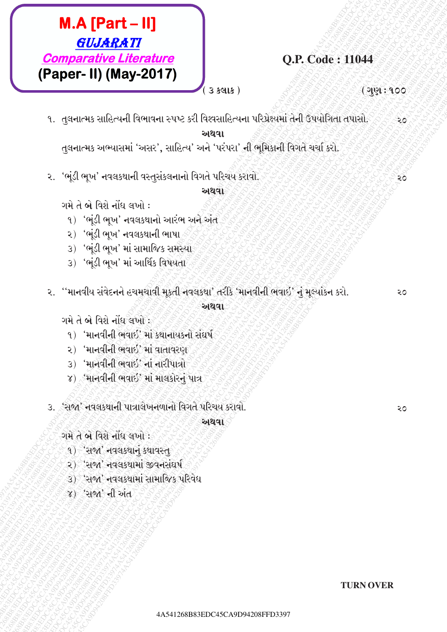# $M.A$  [Part - II] GUJARATI **Comparative Literature** (Paper- II) (May-2017)

### **O.P. Code: 11044**

 $3$   $5$  $9$  $15$ )

( ગુણ : ૧૦૦

२०

२०

૧. તુલનાત્મક સાહિત્યની વિભાવના સ્પષ્ટ કરી વિશ્વસાહિત્યના પરિપ્રેક્ષ્યમાં તેની ઉપયોગિતા તપાસો. ૨૦ <u>અથવા</u>

તુલનાત્મક અભ્યાસમાં 'અસર', સાહિત્ય' અને 'પરંપરા' ની ભૂમિકાની વિગતે ચર્ચા કરો.

૨. 'ભૂંડી ભૂખ' નવલકથાની વસ્તુસંકલનાનો વિગતે પરિચય કરાવો.

અથવા

ગમે તે બે વિશે નોંધ લખો :

- ૧) 'ભૂંડી ભૂખ' નવલકથાનો આરંભ અને અંત
- ૨) 'ભંડી ભુખ' નવલકથાની ભાષા
- 3) 'ભૂંડી ભૂખ' માં સામાજિક સમસ્યો
- 3) 'ભૂંડી ભૂખ' માં આર્થિક વિષયતા
- ૨. ''માનવીય સંવેદનને હચમચાવી મુકતી નવલકથા' તરીકે 'માનવીની ભવાઇ' નું મુલ્યાંકન કરો. અથવા

ગમે તે બે વિશે નોંધ લખો :

- १) 'માનવીની ભવાઈ' માં કથાનાયકનો સંઘર્ષ
- २) 'માનવીની ભવાઈ' માં વાતાવરણ
- 3) 'માનવીની ભવાઇ' નાં નારીપાત્રો
- ४) मानवीनी लवार्छ' भा भावडोरनुं पात्र
- ૩. 'સજા' નવલકથાની પાત્રાલેખનળાનો વિગતે પરિચય કરાવો.

અથવા

ગમે તે બે વિશે નોંધ લખો :

- १) 'સજા' નવલકથાનું કથાવસ્તુ
- २) 'સજા' નવલકથામાં જીવનસંઘર્ષ
- ૩) 'સજા' નવલકથામાં સામાજિક પરિવેધ
- ૪) 'સજા' ની અંત

२०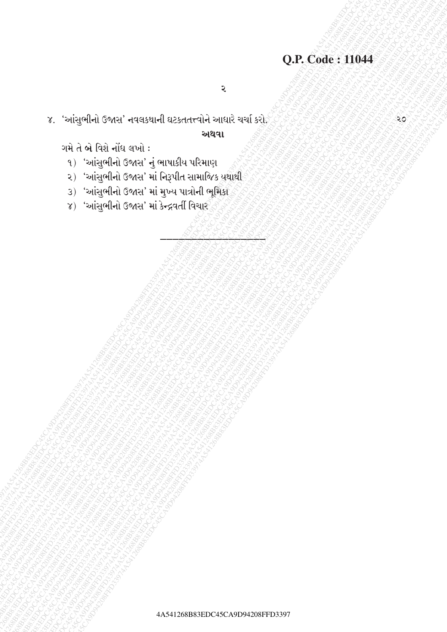$\overline{\mathbf{z}}$ 

૪. 'આંસુભીનો ઉજાસ' નવલકથાની ઘટકતતત્ત્વોને આધારે ચર્ચા કરો

અથવા

ગમે તે બે વિશે નોંધ લખો:

- १) 'આંસુભીનો ઉજાસ' નું ભાષાકીય પરિમાણ
- २) 'આંસુભીનો ઉજાસ' માં નિરૂપીત સામાજિક યથાથી
- 3) 'આંસુભીનો ઉજાસ' માં મુખ્ય પાત્રોની ભૂમિકા
- ૪) 'આંસુભીનો ઉજાસ' માં કેન્દ્રવર્તી વિચાર

૨૦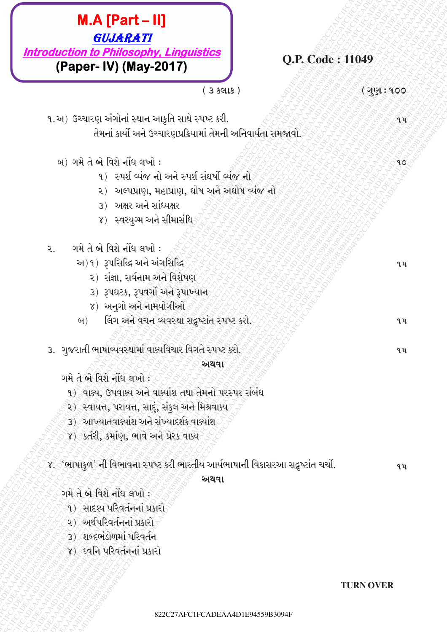

४) દ્વનિ પરિવર્તનનાં પ્રકારો

**TURN OVER**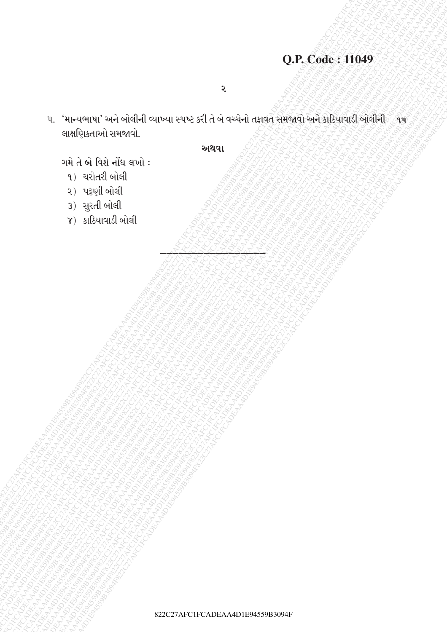# Q.P. Code: 11049

 $\overline{\mathbf{z}}$ 

૫. 'માન્યભાષા' અને બોલીની વ્યાખ્યા સ્પષ્ટ કરી તે બે વચ્ચેનો તફાવત સમજાવો અને કાઠિયાવાડી બોલીની ે ૧૫ લાક્ષણિકતાઓ સમજાવો.

#### અથવા

- ગમે તે બે વિશે નોંધ લખો:
	- ૧) ચરોતરી બોલી
	- ૨) પટ્ટણી બોલી
	- 3) સુરતી બોલી
	- $\gamma$ ) કાઠિયાવાડી બોલી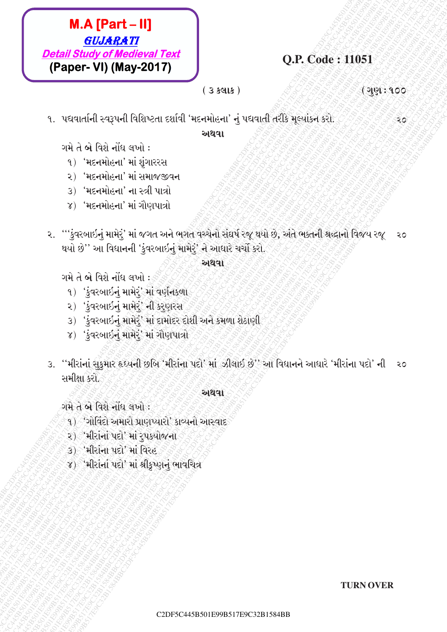# $M.A [Part - II]$ **GUJARATI Detail Study of Medieval Text** (Paper- VI) (May-2017)

O.P. Code: 11051

 $(35915)$ 

( ગુણ : ૧૦૦

૨૦

૧. પદ્યવાર્તાની સ્વરૂપની વિશિષ્ટતા દર્શાવી 'મદનમોહના' નું પદ્યવાતી તરીકે મૂલ્યાંકન કરો.

અથવા

- ગમે તે બે વિશે નોંધ લખો :
	- १) 'મદનમોહના' માં શુંગારરસ
	- ૨) 'મદનમોહના' માં સમાજજીવન
	- 3) 'મદનમોહના' ના સ્ત્રી પાત્રો
	- ४) 'મદનમોહના' માં ગૌણપાત્રો
- ૨. '''કુંવરબાઇનું મામેરું' માં જગત અને ભગતે વચ્ચેનો સંઘર્ષ રજૂ થયો છે, અંતે ભક્તની શ્રદ્ધાનો વિજય રજૂ  $20$ થયો છે'' આ વિઘાનની 'કુંવરબાઇનું મામેરું' ને આધારે ચર્ચો કરો.

#### અથવા

ગમે તે બે વિશે નોંધ લખો :

- ૧) 'કુંવરબાઇનું મામેરું' માં વર્ણનકળા
- ૨) 'કુંવરબાઇનું મામેરું' ની કરુણરસ
- 3) 'કુંવરબાઇનું મામેરૂં' માં દામોદર દોશી અને કમળા શેઠાણી
- ૪) 'કુંવરબાઇનું મામેરું' માં ગૌણપાત્રો
- 3. "મીરાંનાં સુકુમાર હૃઘ્યની છબિ 'મીરાંના પદો' માં ઝીલાઈ છે' આ વિદ્યાનને આધારે 'મીરાંના પદો' ની ૨૦ સમીક્ષા કરો.

### અથવા

ગમે તે બે વિશે નોંધ લખો :

- ૧) ંગોવિંદો અમારો પ્રાણપ્યારો' કાવ્યનો આસ્વાદ
- ૨) 'મીરાનાં પદો' માં રૂપક્યોજના
- 3) 'મીરાંના પદો' માં વિરહ
- ४) 'મીરાંનાં પદો' માં શ્રીકખ્ણનં ભાવચિત્ર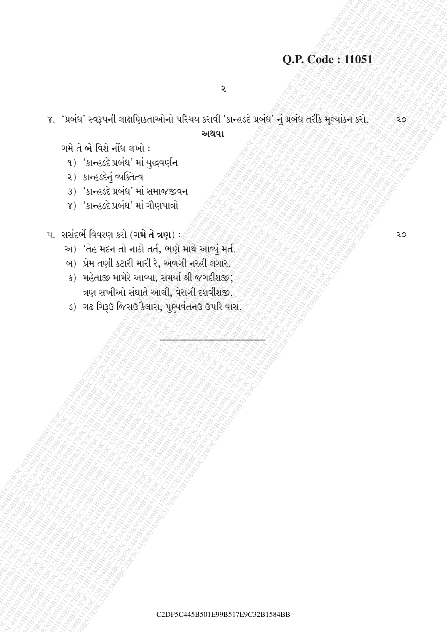## Q.P. Code: 11051

૨

૪. 'પ્રબંધ' સ્વરૂપની લાક્ષણિકતાઓનો પરિચય કરાવી 'કાન્હડદે પ્રબંધ' નું પ્રબંધ તરીકે મૂલ્યાંકન કરો.

#### અથવા

ગમે તે બે વિશે નોંધ લખો:

- १) ' अन्हरहे प्रजंध' मां युद्धवर्णुन
- २) अन्हर्डनुं व्यक्तित्व
- 3) 'કાન્હડદે પ્રબંધ' માં સમાજજીવન
- ૪) 'કાન્હડદે પ્રબંધ' માં ગૌણપાત્રો

પ. સસંદર્ભે વિવરણ કરો (ગમે તે ત્રણ):

- અ) 'તેહ મદન તો નાઠો તર્ત, ભણે માથે આવ્યું મર્ત.
- બ) પ્રેમ તણી કટારી મારી રે, અળગી નરહી લગાર.
- ક) મહેતાજી મામેરે આવ્યા, સમર્યા શ્રી જગદીશજી; ત્રણ સખીઓ સંઘાતે આલી, વેરાગી દશવીશજી.
- ડ) ગઢ ગિરૂઉ જિસઉ કૈલાસ, પુણ્યવંતનઉ ઉપરિ વાસ.

२०

૨೦